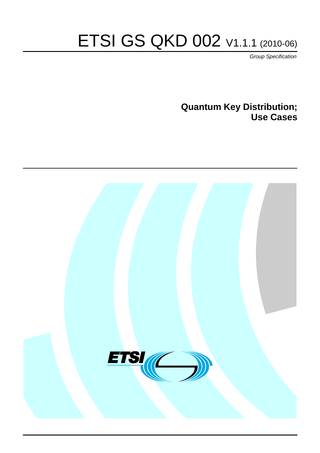# ETSI GS QKD 002 V1.1.1 (2010-06)

*Group Specification*

**Quantum Key Distribution; Use Cases**

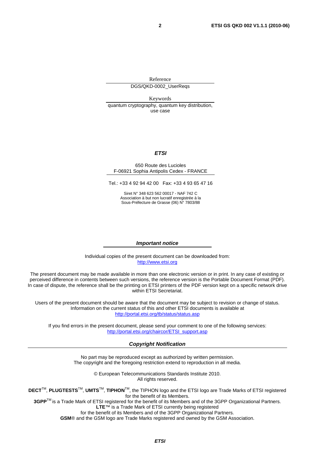Reference

DGS/QKD-0002\_UserReqs

Keywords quantum cryptography, quantum key distribution, use case

#### *ETSI*

#### 650 Route des Lucioles F-06921 Sophia Antipolis Cedex - FRANCE

Tel.: +33 4 92 94 42 00 Fax: +33 4 93 65 47 16

Siret N° 348 623 562 00017 - NAF 742 C Association à but non lucratif enregistrée à la Sous-Préfecture de Grasse (06) N° 7803/88

#### *Important notice*

Individual copies of the present document can be downloaded from: [http://www.etsi.org](http://www.etsi.org/)

The present document may be made available in more than one electronic version or in print. In any case of existing or perceived difference in contents between such versions, the reference version is the Portable Document Format (PDF). In case of dispute, the reference shall be the printing on ETSI printers of the PDF version kept on a specific network drive within ETSI Secretariat.

Users of the present document should be aware that the document may be subject to revision or change of status. Information on the current status of this and other ETSI documents is available at <http://portal.etsi.org/tb/status/status.asp>

If you find errors in the present document, please send your comment to one of the following services: [http://portal.etsi.org/chaircor/ETSI\\_support.asp](http://portal.etsi.org/chaircor/ETSI_support.asp)

#### *Copyright Notification*

No part may be reproduced except as authorized by written permission. The copyright and the foregoing restriction extend to reproduction in all media.

> © European Telecommunications Standards Institute 2010. All rights reserved.

**DECT**TM, **PLUGTESTS**TM, **UMTS**TM, **TIPHON**TM, the TIPHON logo and the ETSI logo are Trade Marks of ETSI registered for the benefit of its Members.

**3GPP**TM is a Trade Mark of ETSI registered for the benefit of its Members and of the 3GPP Organizational Partners. **LTE**™ is a Trade Mark of ETSI currently being registered

for the benefit of its Members and of the 3GPP Organizational Partners.

**GSM**® and the GSM logo are Trade Marks registered and owned by the GSM Association.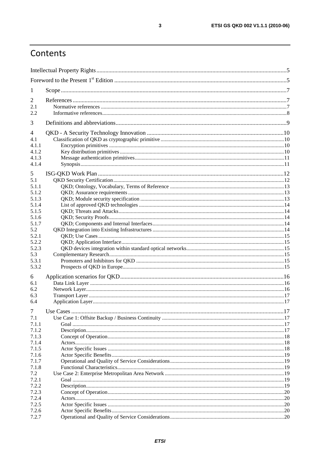# Contents

| $\mathbf{I}$   |  |  |  |  |  |
|----------------|--|--|--|--|--|
| 2              |  |  |  |  |  |
| 2.1            |  |  |  |  |  |
| 2.2            |  |  |  |  |  |
| 3              |  |  |  |  |  |
| 4              |  |  |  |  |  |
| 4.1            |  |  |  |  |  |
| 4.1.1          |  |  |  |  |  |
| 4.1.2          |  |  |  |  |  |
| 4.1.3          |  |  |  |  |  |
| 4.1.4          |  |  |  |  |  |
| 5              |  |  |  |  |  |
| 5.1            |  |  |  |  |  |
| 5.1.1          |  |  |  |  |  |
| 5.1.2          |  |  |  |  |  |
| 5.1.3          |  |  |  |  |  |
| 5.1.4          |  |  |  |  |  |
| 5.1.5          |  |  |  |  |  |
| 5.1.6          |  |  |  |  |  |
| 5.1.7          |  |  |  |  |  |
| 5.2            |  |  |  |  |  |
| 5.2.1          |  |  |  |  |  |
| 5.2.2          |  |  |  |  |  |
| 5.2.3          |  |  |  |  |  |
| 5.3            |  |  |  |  |  |
| 5.3.1          |  |  |  |  |  |
| 5.3.2          |  |  |  |  |  |
| 6              |  |  |  |  |  |
| 6.1            |  |  |  |  |  |
| 6.2            |  |  |  |  |  |
| 6.3            |  |  |  |  |  |
| 6.4            |  |  |  |  |  |
| 7              |  |  |  |  |  |
| 7.1            |  |  |  |  |  |
| 7.1.1          |  |  |  |  |  |
| 7.1.2          |  |  |  |  |  |
| 7.1.3          |  |  |  |  |  |
| 7.1.4          |  |  |  |  |  |
| 7.1.5          |  |  |  |  |  |
| 7.1.6          |  |  |  |  |  |
| 7.1.7          |  |  |  |  |  |
| 7.1.8          |  |  |  |  |  |
| 7.2            |  |  |  |  |  |
| 7.2.1          |  |  |  |  |  |
| 7.2.2          |  |  |  |  |  |
| 7.2.3          |  |  |  |  |  |
| 7.2.4<br>7.2.5 |  |  |  |  |  |
| 7.2.6          |  |  |  |  |  |
| 7.2.7          |  |  |  |  |  |
|                |  |  |  |  |  |

 $\overline{\mathbf{3}}$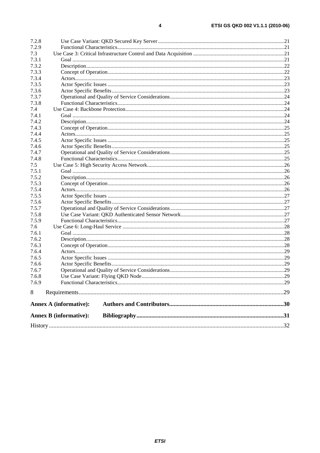| 7.2.8 |                               |  |  |  |  |
|-------|-------------------------------|--|--|--|--|
| 7.2.9 |                               |  |  |  |  |
| 7.3   |                               |  |  |  |  |
| 7.3.1 |                               |  |  |  |  |
| 7.3.2 |                               |  |  |  |  |
| 7.3.3 |                               |  |  |  |  |
| 7.3.4 |                               |  |  |  |  |
| 7.3.5 |                               |  |  |  |  |
| 7.3.6 |                               |  |  |  |  |
| 7.3.7 |                               |  |  |  |  |
| 7.3.8 |                               |  |  |  |  |
| 7.4   |                               |  |  |  |  |
| 7.4.1 |                               |  |  |  |  |
| 7.4.2 |                               |  |  |  |  |
| 7.4.3 |                               |  |  |  |  |
| 7.4.4 |                               |  |  |  |  |
| 7.4.5 |                               |  |  |  |  |
| 7.4.6 |                               |  |  |  |  |
| 7.4.7 |                               |  |  |  |  |
| 7.4.8 |                               |  |  |  |  |
| 7.5   |                               |  |  |  |  |
| 7.5.1 |                               |  |  |  |  |
| 7.5.2 |                               |  |  |  |  |
| 7.5.3 |                               |  |  |  |  |
| 7.5.4 |                               |  |  |  |  |
| 7.5.5 |                               |  |  |  |  |
| 7.5.6 |                               |  |  |  |  |
| 7.5.7 |                               |  |  |  |  |
| 7.5.8 |                               |  |  |  |  |
| 7.5.9 |                               |  |  |  |  |
| 7.6   |                               |  |  |  |  |
| 7.6.1 |                               |  |  |  |  |
| 7.6.2 |                               |  |  |  |  |
| 7.6.3 |                               |  |  |  |  |
| 7.6.4 |                               |  |  |  |  |
| 7.6.5 |                               |  |  |  |  |
| 7.6.6 |                               |  |  |  |  |
| 7.6.7 |                               |  |  |  |  |
| 7.6.8 |                               |  |  |  |  |
| 7.6.9 |                               |  |  |  |  |
| 8     |                               |  |  |  |  |
|       | <b>Annex A (informative):</b> |  |  |  |  |
|       |                               |  |  |  |  |
|       | <b>Annex B</b> (informative): |  |  |  |  |
|       |                               |  |  |  |  |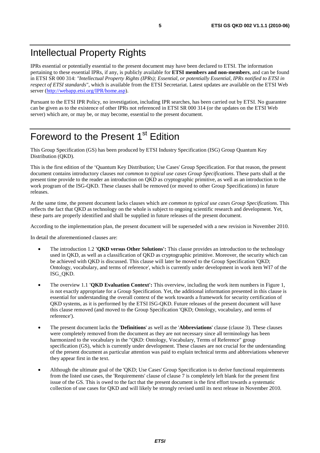# Intellectual Property Rights

IPRs essential or potentially essential to the present document may have been declared to ETSI. The information pertaining to these essential IPRs, if any, is publicly available for **ETSI members and non-members**, and can be found in ETSI SR 000 314: *"Intellectual Property Rights (IPRs); Essential, or potentially Essential, IPRs notified to ETSI in respect of ETSI standards"*, which is available from the ETSI Secretariat. Latest updates are available on the ETSI Web server ([http://webapp.etsi.org/IPR/home.asp\)](http://webapp.etsi.org/IPR/home.asp).

Pursuant to the ETSI IPR Policy, no investigation, including IPR searches, has been carried out by ETSI. No guarantee can be given as to the existence of other IPRs not referenced in ETSI SR 000 314 (or the updates on the ETSI Web server) which are, or may be, or may become, essential to the present document.

# Foreword to the Present 1<sup>st</sup> Edition

This Group Specification (GS) has been produced by ETSI Industry Specification (ISG) Group Quantum Key Distribution (QKD).

This is the first edition of the 'Quantum Key Distribution; Use Cases' Group Specification. For that reason, the present document contains introductory clauses *not common to typical use cases Group Specifications*. These parts shall at the present time provide to the reader an introduction on QKD as cryptographic primitive, as well as an introduction to the work program of the ISG-QKD. These clauses shall be removed (or moved to other Group Specifications) in future releases.

At the same time, the present document lacks clauses which are *common to typical use cases Group Specifications*. This reflects the fact that QKD as technology on the whole is subject to ongoing scientific research and development. Yet, these parts are properly identified and shall be supplied in future releases of the present document.

According to the implementation plan, the present document will be superseded with a new revision in November 2010.

In detail the aforementioned clauses are:

- The introduction 1.2 **'QKD versus Other Solutions':** This clause provides an introduction to the technology used in QKD, as well as a classification of QKD as cryptographic primitive. Moreover, the security which can be achieved with QKD is discussed. This clause will later be moved to the Group Specification 'QKD; Ontology, vocabulary, and terms of reference', which is currently under development in work item WI7 of the ISG\_QKD.
- The overview 1.1 **'QKD Evaluation Context':** This overview, including the work item numbers in Figure 1, is not exactly appropriate for a Group Specification. Yet, the additional information presented in this clause is essential for understanding the overall context of the work towards a framework for security certification of QKD systems, as it is performed by the ETSI ISG-QKD. Future releases of the present document will have this clause removed (and moved to the Group Specification 'QKD; Ontology, vocabulary, and terms of reference').
- The present document lacks the '**Definitions**' as well as the '**Abbreviations**' clause (clause 3). These clauses were completely removed from the document as they are not necessary since all terminology has been harmonized to the vocabulary in the "QKD: Ontology, Vocabulary, Terms of Reference" group specification (GS), which is currently under development. These clauses are not crucial for the understanding of the present document as particular attention was paid to explain technical terms and abbreviations whenever they appear first in the text.
- Although the ultimate goal of the 'QKD; Use Cases' Group Specification is to derive functional requirements from the listed use cases, the 'Requirements' clause of clause 7 is completely left blank for the present first issue of the GS. This is owed to the fact that the present document is the first effort towards a systematic collection of use cases for QKD and will likely be strongly revised until its next release in November 2010.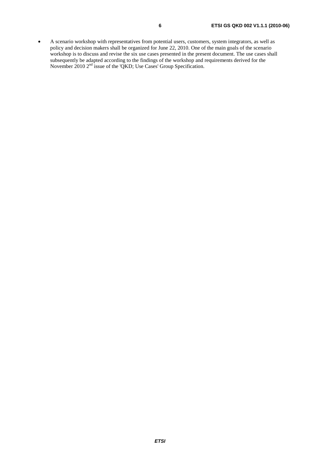• A scenario workshop with representatives from potential users, customers, system integrators, as well as policy and decision makers shall be organized for June 22, 2010. One of the main goals of the scenario workshop is to discuss and revise the six use cases presented in the present document. The use cases shall subsequently be adapted according to the findings of the workshop and requirements derived for the November 2010 2<sup>nd</sup> issue of the 'QKD; Use Cases' Group Specification.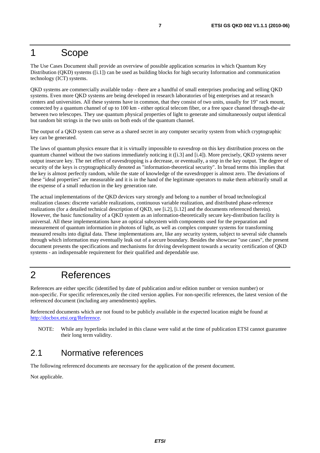# 1 Scope

The Use Cases Document shall provide an overview of possible application scenarios in which Quantum Key Distribution (QKD) systems ([i.1]) can be used as building blocks for high security Information and communication technology (ICT) systems.

QKD systems are commercially available today - there are a handful of small enterprises producing and selling QKD systems. Even more QKD systems are being developed in research laboratories of big enterprises and at research centers and universities. All these systems have in common, that they consist of two units, usually for 19" rack mount, connected by a quantum channel of up to 100 km - either optical telecom fiber, or a free space channel through-the-air between two telescopes. They use quantum physical properties of light to generate and simultaneously output identical but random bit strings in the two units on both ends of the quantum channel.

The output of a QKD system can serve as a shared secret in any computer security system from which cryptographic key can be generated.

The laws of quantum physics ensure that it is virtually impossible to eavesdrop on this key distribution process on the quantum channel without the two stations immediately noticing it ([i.3] and [i.4]). More precisely, QKD systems never output insecure key. The net effect of eavesdropping is a decrease, or eventually, a stop in the key output. The degree of security of the keys is cryptographically denoted as "information-theoretical security". In broad terms this implies that the key is almost perfectly random, while the state of knowledge of the eavesdropper is almost zero. The deviations of these "ideal properties" are measurable and it is in the hand of the legitimate operators to make them arbitrarily small at the expense of a small reduction in the key generation rate.

The actual implementations of the QKD devices vary strongly and belong to a number of broad technological realization classes: discrete variable realizations, continuous variable realization, and distributed phase-reference realizations (for a detailed technical description of QKD, see [i.2], [i.12] and the documents referenced therein). However, the basic functionality of a QKD system as an information-theoretically secure key-distribution facility is universal. All these implementations have an optical subsystem with components used for the preparation and measurement of quantum information in photons of light, as well as complex computer systems for transforming measured results into digital data. These implementations are, like any security system, subject to several side channels through which information may eventually leak out of a secure boundary. Besides the showcase "use cases", the present document presents the specifications and mechanisms for driving development towards a security certification of QKD systems - an indispensable requirement for their qualified and dependable use.

# 2 References

References are either specific (identified by date of publication and/or edition number or version number) or non-specific. For specific references,only the cited version applies. For non-specific references, the latest version of the referenced document (including any amendments) applies.

Referenced documents which are not found to be publicly available in the expected location might be found at [http://docbox.etsi.org/Reference.](http://docbox.etsi.org/Reference)

NOTE: While any hyperlinks included in this clause were valid at the time of publication ETSI cannot guarantee their long term validity.

# 2.1 Normative references

The following referenced documents are necessary for the application of the present document.

Not applicable.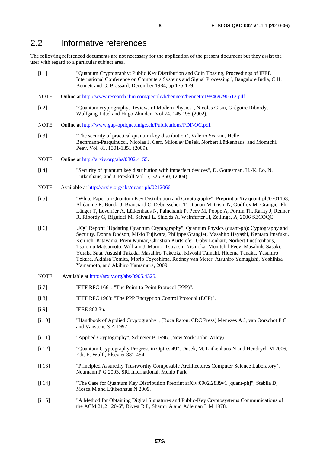# 2.2 Informative references

The following referenced documents are not necessary for the application of the present document but they assist the user with regard to a particular subject area**.**

- [i.1] "Quantum Cryptography: Public Key Distribution and Coin Tossing, Proceedings of IEEE International Conference on Computers Systems and Signal Processing", Bangalore India, C.H. Bennett and G. Brassard, December 1984, pp 175-179.
- NOTE: Online at [http://www.research.ibm.com/people/b/bennetc/bennettc198469790513.pdf.](http://www.research.ibm.com/people/b/bennetc/bennettc198469790513.pdf)
- [i.2] "Quantum cryptography, Reviews of Modern Physics", Nicolas Gisin, Grégoire Ribordy, Wolfgang Tittel and Hugo Zbinden, Vol 74, 145-195 (2002).
- NOTE: Online at [http://www.gap-optique.unige.ch/Publications/PDF/QC.pdf.](http://www.gap-optique.unige.ch/Publications/PDF/QC.pdf)
- [i.3] "The security of practical quantum key distribution", Valerio Scarani, Helle Bechmann-Pasquinucci, Nicolas J. Cerf, Miloslav Dušek, Norbert Lütkenhaus, and Momtchil Peev, Vol. 81, 1301-1351 (2009).
- NOTE: Online at [http://arxiv.org/abs/0802.4155.](http://arxiv.org/abs/0802.4155)
- [i.4] "Security of quantum key distribution with imperfect devices", D. Gottesman, H.-K. Lo, N. Lütkenhaus, and J. Preskill,Vol. 5, 325-360) (2004).
- NOTE: Available at [http://arxiv.org/abs/quant-ph/0212066.](http://arxiv.org/abs/quant-ph/0212066)
- [i.5] "White Paper on Quantum Key Distribution and Cryptography", Preprint arXiv:quant-ph/0701168, Alléaume R, Bouda J, Branciard C, Debuisschert T, Dianati M, Gisin N, Godfrey M, Grangier Ph, Länger T, Leverrier A, Lütkenhaus N, Painchault P, Peev M, Poppe A, Pornin Th, Rarity J, Renner R, Ribordy G, Riguidel M, Salvail L, Shields A, Weinfurter H, Zeilinge, A, 2006 SECOQC.
- [i.6] UQC Report: "Updating Quantum Cryptography", Quantum Physics (quant-ph); Cyptography and Security. Donna Dodson, Mikio Fujiwara, Philippe Grangier, Masahito Hayashi, Kentaro Imafuku, Ken-ichi Kitayama, Prem Kumar, Christian Kurtsiefer, Gaby Lenhart, Norbert Luetkenhaus, Tsutomu Matsumoto, William J. Munro, Tsuyoshi Nishioka, Momtchil Peev, Masahide Sasaki, Yutaka Sata, Atsushi Takada, Masahiro Takeoka, Kiyoshi Tamaki, Hidema Tanaka, Yasuhiro Tokura, Akihisa Tomita, Morio Toyoshima, Rodney van Meter, Atsuhiro Yamagishi, Yoshihisa Yamamoto, and Akihiro Yamamura, 2009.
- NOTE: Available at [http://arxiv.org/abs/0905.4325.](http://arxiv.org/abs/0905.4325)
- [i.7] IETF RFC 1661: "The Point-to-Point Protocol (PPP)".
- [i.8] IETF RFC 1968: "The PPP Encryption Control Protocol (ECP)".
- [i.9] **IEEE 802.3u.**
- [i.10] "Handbook of Applied Cryptography", (Boca Raton: CRC Press) Menezes A J, van Oorschot P C and Vanstone S A 1997.
- [i.11] "Applied Cryptography", Schneier B 1996, (New York: John Wiley).
- [i.12] "Quantum Cryptography Progress in Optics 49", Dusek, M, Lütkenhaus N and Hendrych M 2006, Edt. E. Wolf , Elsevier 381-454.
- [i.13] "Principled Assuredly Trustworthy Composable Architectures Computer Science Laboratory", Neumann P G 2003, SRI International, Menlo Park.
- [i.14] "The Case for Quantum Key Distribution Preprint arXiv:0902.2839v1 [quant-ph]", Stebila D, Mosca M and Lütkenhaus N 2009.
- [i.15] "A Method for Obtaining Digital Signatures and Public-Key Cryptosystems Communications of the ACM 21,2 120-6", Rivest R L, Shamir A and Adleman L M 1978.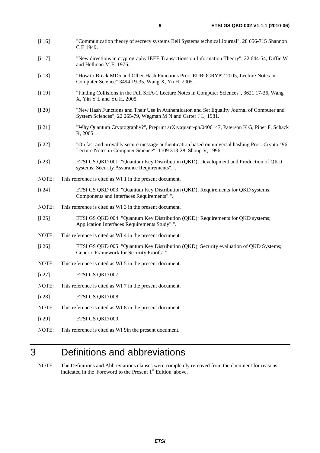- [i.16] "Communication theory of secrecy systems Bell Systems technical Journal", 28 656-715 Shannon C E 1949.
- [i.17] "New directions in cryptography IEEE Transactions on Information Theory", 22 644-54, Diffie W and Hellman M E, 1976.
- [i.18] "How to Break MD5 and Other Hash Functions Proc. EUROCRYPT 2005, Lecture Notes in Computer Science" 3494 19-35, Wang X, Yu H, 2005.
- [i.19] "Finding Collisions in the Full SHA-1 Lecture Notes in Computer Sciences", 3621 17-36, Wang X, Yin Y L and Yu H, 2005.
- [i.20] "New Hash Functions and Their Use in Authenticaton and Set Equality Journal of Computer and System Sciences", 22 265-79, Wegman M N and Carter J L, 1981.
- [i.21] "Why Quantum Cryptography?", Preprint arXiv:quant-ph/0406147, Paterson K G, Piper F, Schack R, 2005.
- [i.22] "On fast and provably secure message authentication based on universal hashing Proc. Crypto "96, Lecture Notes in Computer Science", 1109 313-28, Shoup V, 1996.
- [i.23] ETSI GS QKD 001: "Quantum Key Distribution (QKD); Development and Production of QKD systems; Security Assurance Requirements".".
- NOTE: This reference is cited as WI 1 in the present document.
- [i.24] ETSI GS QKD 003: "Quantum Key Distribution (QKD); Requirements for QKD systems; Components and Interfaces Requirements".".
- NOTE: This reference is cited as WI 3 in the present document.
- [i.25] ETSI GS QKD 004: "Quantum Key Distribution (QKD); Requirements for QKD systems; Application Interfaces Requirements Study".".
- NOTE: This reference is cited as WI 4 in the present document.
- [i.26] ETSI GS QKD 005: "Quantum Key Distribution (QKD); Security evaluation of QKD Systems; Generic Framework for Security Proofs".".
- NOTE: This reference is cited as WI 5 in the present document.
- [i.27] ETSI GS OKD 007.
- NOTE: This reference is cited as WI 7 in the present document.
- [i.28] ETSI GS QKD 008.
- NOTE: This reference is cited as WI 8 in the present document.
- [i.29] ETSI GS QKD 009.
- NOTE: This reference is cited as WI 9in the present document.

# 3 Definitions and abbreviations

NOTE: The Definitions and Abbreviations clauses were completely removed from the document for reasons indicated in the 'Foreword to the Present 1<sup>st</sup> Edition' above.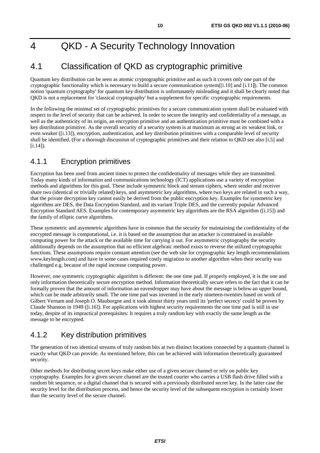# 4 QKD - A Security Technology Innovation

# 4.1 Classification of QKD as cryptographic primitive

Quantum key distribution can be seen as atomic cryptographic primitive and as such it covers only one part of the cryptographic functionality which is necessary to build a secure communication system([i.10] and [i.11**]**). The common notion 'quantum cryptography' for quantum key distribution is unfortunately misleading and it shall be clearly noted that QKD is not a replacement for 'classical cryptography' but a supplement for specific cryptographic requirements.

In the following the minimal set of cryptographic primitives for a secure communication system shall be evaluated with respect to the level of security that can be achieved. In order to secure the integrity and confidentiality of a message, as well as the authenticity of its origin, an encryption primitive and an authentication primitive must be combined with a key distribution primitive. As the overall security of a security system is at maximum as strong as its weakest link, or even weaker ([i.13]), encryption, authentication, and key distribution primitives with a comparable level of security shall be identified. (For a thorough discussion of cryptographic primitives and their relation to QKD see also [i.5] and  $[i.14]$ .

# 4.1.1 Encryption primitives

Encryption has been used from ancient times to protect the confidentiality of messages while they are transmitted. Today many kinds of information and communications technology (ICT) applications use a variety of encryption methods and algorithms for this goal. These include symmetric block and stream ciphers, where sender and receiver share two (identical or trivially related) keys, and asymmetric key algorithms, where two keys are related in such a way, that the private decryption key cannot easily be derived from the public encryption key. Examples for symmetric key algorithms are DES, the Data Encryption Standard, and its variant Triple DES, and the currently popular Advanced Encryption Standard AES. Examples for contemporary asymmetric key algorithms are the RSA algorithm ([i.15]) and the family of elliptic curve algorithms.

These symmetric and asymmetric algorithms have in common that the security for maintaining the confidentiality of the encrypted message is computational, i.e. it is based on the assumption that an attacker is constrained in available computing power for the attack or the available time for carrying it out. For asymmetric cryptography the security additionally depends on the assumption that no efficient algebraic method exists to reverse the utilized cryptographic functions. These assumptions require constant attention (see the web site for cryptographic key length recommendations www.keylength.com) and have in some cases required costly migration to another algorithm when their security was challenged e.g. because of the rapid increase computing power.

However, one symmetric cryptographic algorithm is different: the one time pad. If properly employed, it is the one and only information theoretically secure encryption method. Information theoretically secure refers to the fact that it can be formally proven that the amount of information an eavesdropper may have about the message is below an upper bound, which can be made arbitrarily small. The one time pad was invented in the early nineteen-twenties based on work of Gilbert Vernam and Joseph O. Mauborgne and it took almost thirty years until its 'perfect secrecy' could be proven by Claude Shannon in 1949 ([i.16]). For applications with highest security requirements the one time pad is still in use today, despite of its impractical prerequisites: It requires a truly random key with exactly the same length as the message to be encrypted.

# 4.1.2 Key distribution primitives

The generation of two identical streams of truly random bits at two distinct locations connected by a quantum channel is exactly what QKD can provide. As mentioned before, this can be achieved with information theoretically guaranteed security.

Other methods for distributing secret keys make either use of a given secure channel or rely on public key cryptography. Examples for a given secure channel are the trusted courier who carries a USB flash drive filled with a random bit sequence, or a digital channel that is secured with a previously distributed secret key. In the latter case the security level for the distribution process, and hence the security level of the subsequent encryption is certainly lower than the security level of the secure channel.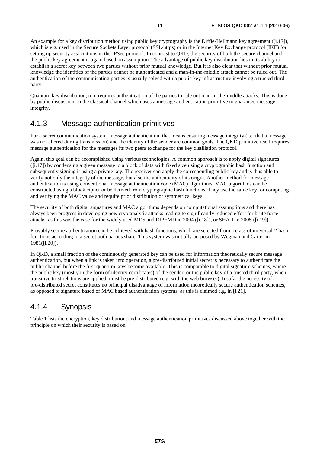An example for a key distribution method using public key cryptography is the Diffie-Hellmann key agreement ([i.17]), which is e.g. used in the Secure Sockets Layer protocol (SSL/https) or in the Internet Key Exchange protocol (IKE) for setting up security associations in the IPSec protocol. In contrast to QKD, the security of both the secure channel and the public key agreement is again based on assumption. The advantage of public key distribution lies in its ability to establish a secret key between two parties without prior mutual knowledge. But it is also clear that without prior mutual knowledge the identities of the parties cannot be authenticated and a man-in-the-middle attack cannot be ruled out. The authentication of the communicating parties is usually solved with a public key infrastructure involving a trusted third party.

Quantum key distribution, too, requires authentication of the parties to rule out man-in-the-middle attacks. This is done by public discussion on the classical channel which uses a message authentication primitive to guarantee message integrity.

## 4.1.3 Message authentication primitives

For a secret communication system, message authentication, that means ensuring message integrity (i.e. that a message was not altered during transmission) and the identity of the sender are common goals. The QKD primitive itself requires message authentication for the messages its two peers exchange for the key distillation protocol.

Again, this goal can be accomplished using various technologies. A common approach is to apply digital signatures (**[**i.17**]**) by condensing a given message to a block of data with fixed size using a cryptographic hash function and subsequently signing it using a private key. The receiver can apply the corresponding public key and is thus able to verify not only the integrity of the message, but also the authenticity of its origin. Another method for message authentication is using conventional message authentication code (MAC) algorithms. MAC algorithms can be constructed using a block cipher or be derived from cryptographic hash functions. They use the same key for computing and verifying the MAC value and require prior distribution of symmetrical keys.

The security of both digital signatures and MAC algorithms depends on computational assumptions and there has always been progress in developing new cryptanalytic attacks leading to significantly reduced effort for brute force attacks, as this was the case for the widely used MD5 and RIPEMD in 2004 ([i.18]), or SHA-1 in 2005 **([**i.19**])**.

Provably secure authentication can be achieved with hash functions, which are selected from a class of universal-2 hash functions according to a secret both parties share. This system was initially proposed by Wegman and Carter in 1981([i.20]).

In QKD, a small fraction of the continuously generated key can be used for information theoretically secure message authentication, but when a link is taken into operation, a pre-distributed initial secret is necessary to authenticate the public channel before the first quantum keys become available. This is comparable to digital signature schemes, where the public key (mostly in the form of identity certificates) of the sender, or the public key of a trusted third party, when transitive trust relations are applied, must be pre-distributed (e.g. with the web browser). Insofar the necessity of a pre-distributed secret constitutes no principal disadvantage of information theoretically secure authentication schemes, as opposed to signature based or MAC based authentication systems, as this is claimed e.g. in [i.21].

# 4.1.4 Synopsis

Table 1 lists the encryption, key distribution, and message authentication primitives discussed above together with the principle on which their security is based on.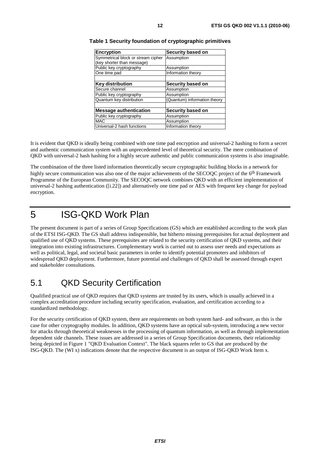| <b>Encryption</b>                  | Security based on            |  |
|------------------------------------|------------------------------|--|
| Symmetrical block or stream cipher | Assumption                   |  |
| (key shorter than message)         |                              |  |
| Public key cryptography            | Assumption                   |  |
| One time pad                       | Information theory           |  |
|                                    |                              |  |
| <b>Key distribution</b>            | Security based on            |  |
| Secure channel                     | Assumption                   |  |
| Public key cryptography            | Assumption                   |  |
| Quantum key distribution           | (Quantum) information theory |  |
|                                    |                              |  |
| <b>Message authentication</b>      | Security based on            |  |
| Public key cryptography            | Assumption                   |  |
| <b>MAC</b>                         | Assumption                   |  |
| Universal-2 hash functions         | Information theory           |  |

#### **Table 1 Security foundation of cryptographic primitives**

It is evident that QKD is ideally being combined with one time pad encryption and universal-2 hashing to form a secret and authentic communication system with an unprecedented level of theoretical security. The mere combination of QKD with universal-2 hash hashing for a highly secure authentic and public communication systems is also imaginable.

The combination of the three listed information theoretically secure cryptographic building blocks in a network for highly secure communication was also one of the major achievements of the SECOQC project of the 6<sup>th</sup> Framework Programme of the European Community. The SECOQC network combines QKD with an efficient implementation of universal-2 hashing authentication ([i.22]) and alternatively one time pad or AES with frequent key change for payload encryption.

# 5 ISG-QKD Work Plan

The present document is part of a series of Group Specifications (GS) which are established according to the work plan of the ETSI ISG-QKD. The GS shall address indispensible, but hitherto missing prerequisites for actual deployment and qualified use of QKD systems. These prerequisites are related to the security certification of QKD systems, and their integration into existing infrastructures. Complementary work is carried out to assess user needs and expectations as well as political, legal, and societal basic parameters in order to identify potential promoters and inhibitors of widespread QKD deployment. Furthermore, future potential and challenges of QKD shall be assessed through expert and stakeholder consultations.

# 5.1 QKD Security Certification

Qualified practical use of QKD requires that QKD systems are trusted by its users, which is usually achieved in a complex accreditation procedure including security specification, evaluation, and certification according to a standardized methodology.

For the security certification of QKD system, there are requirements on both system hard- and software, as this is the case for other cryptography modules. In addition, QKD systems have an optical sub-system, introducing a new vector for attacks through theoretical weaknesses in the processing of quantum information, as well as through implementation dependent side channels. These issues are addressed in a series of Group Specification documents, their relationship being depicted in Figure 1 "QKD Evaluation Context". The black squares refer to GS that are produced by the ISG-QKD. The (WI x) indications denote that the respective document is an output of ISG-QKD Work Item x.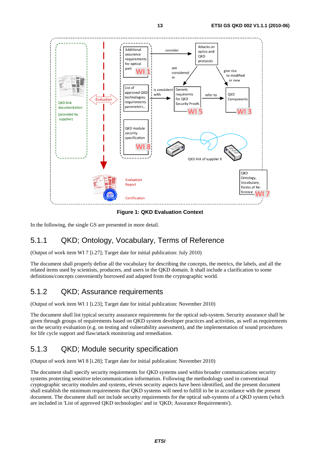

**Figure 1: QKD Evaluation Context** 

In the following, the single GS are presented in more detail.

# 5.1.1 QKD; Ontology, Vocabulary, Terms of Reference

(Output of work item WI 7 [i.27]; Target date for initial publication: July 2010)

The document shall properly define all the vocabulary for describing the concepts, the metrics, the labels, and all the related items used by scientists, producers, and users in the QKD domain. It shall include a clarification to some definitions/concepts conveniently borrowed and adapted from the cryptographic world.

# 5.1.2 QKD; Assurance requirements

(Output of work item WI 1 [i.23]; Target date for initial publication: November 2010)

The document shall list typical security assurance requirements for the optical sub-system. Security assurance shall be given through groups of requirements based on QKD system developer practices and activities, as well as requirements on the security evaluation (e.g. on testing and vulnerability assessment), and the implementation of sound procedures for life cycle support and flaw/attack monitoring and remediation.

# 5.1.3 QKD; Module security specification

(Output of work item WI 8 [i.28]; Target date for initial publication: November 2010)

The document shall specify security requirements for QKD systems used within broader communications security systems protecting sensitive telecommunication information. Following the methodology used in conventional cryptographic security modules and systems, eleven security aspects have been identified, and the present document shall establish the minimum requirements that QKD systems will need to fulfill to be in accordance with the present document. The document shall not include security requirements for the optical sub-systems of a QKD system (which are included in 'List of approved QKD technologies' and in 'QKD; Assurance Requirements').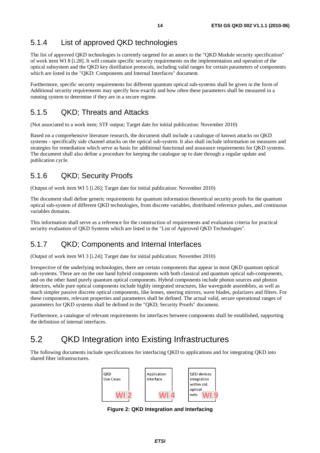# 5.1.4 List of approved QKD technologies

The list of approved QKD technologies is currently targeted for an annex to the "QKD Module security specification" of work item WI 8 [i.28]. It will contain specific security requirements on the implementation and operation of the optical subsystem and the QKD key distillation protocols, including valid ranges for certain parameters of components which are listed in the "QKD: Components and Internal Interfaces" document.

Furthermore, specific security requirements for different quantum optical sub-systems shall be given in the form of Additional security requirements may specify how exactly and how often these parameters shall be measured in a running system to determine if they are in a secure regime.

### 5.1.5 QKD; Threats and Attacks

(Not associated to a work item; STF output; Target date for initial publication: November 2010)

Based on a comprehensive literature research, the document shall include a catalogue of known attacks on QKD systems - specifically side channel attacks on the optical sub-system. It also shall include information on measures and strategies for remediation which serve as basis for additional functional and assurance requirements for QKD systems. The document shall also define a procedure for keeping the catalogue up to date through a regular update and publication cycle.

# 5.1.6 QKD; Security Proofs

(Output of work item WI 5 [i.26]; Target date for initial publication: November 2010)

The document shall define generic requirements for quantum information theoretical security proofs for the quantum optical sub-system of different QKD technologies, from discrete variables, distributed reference pulses, and continuous variables domains.

This information shall serve as a reference for the construction of requirements and evaluation criteria for practical security evaluation of QKD Systems which are listed in the "List of Approved QKD Technologies".

## 5.1.7 QKD; Components and Internal Interfaces

(Output of work item WI 3 [i.24]; Target date for initial publication: November 2010)

Irrespective of the underlying technologies, there are certain components that appear in most QKD quantum optical sub-systems. These are on the one hand hybrid components with both classical and quantum optical sub-components, and on the other hand purely quantum optical components. Hybrid components include photon sources and photon detectors, while pure optical components include highly integrated structures, like waveguide assemblies, as well as much simpler passive discrete optical components, like lenses, steering mirrors, wave blades, polarizers and filters. For these components, relevant properties and parameters shall be defined. The actual valid, secure operational ranges of parameters for QKD systems shall be defined in the "QKD; Security Proofs" document.

Furthermore, a catalogue of relevant requirements for interfaces between components shall be established, supporting the definition of internal interfaces.

# 5.2 QKD Integration into Existing Infrastructures

The following documents include specifications for interfacing QKD to applications and for integrating QKD into shared fiber infrastructures.



**Figure 2: QKD Integration and Interfacing**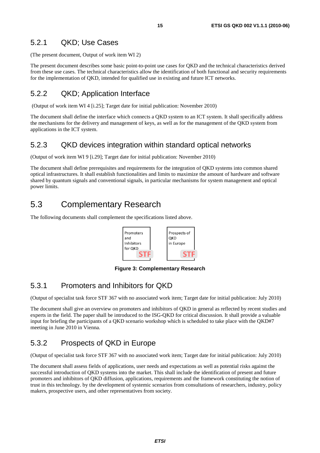### 5.2.1 QKD; Use Cases

(The present document, Output of work item WI 2)

The present document describes some basic point-to-point use cases for QKD and the technical characteristics derived from these use cases. The technical characteristics allow the identification of both functional and security requirements for the implementation of QKD, intended for qualified use in existing and future ICT networks.

### 5.2.2 QKD; Application Interface

(Output of work item WI 4 [i.25]; Target date for initial publication: November 2010)

The document shall define the interface which connects a QKD system to an ICT system. It shall specifically address the mechanisms for the delivery and management of keys, as well as for the management of the QKD system from applications in the ICT system.

### 5.2.3 QKD devices integration within standard optical networks

(Output of work item WI 9 [i.29]; Target date for initial publication: November 2010)

The document shall define prerequisites and requirements for the integration of QKD systems into common shared optical infrastructures. It shall establish functionalities and limits to maximize the amount of hardware and software shared by quantum signals and conventional signals, in particular mechanisms for system management and optical power limits.

# 5.3 Complementary Research

The following documents shall complement the specifications listed above.



**Figure 3: Complementary Research** 

### 5.3.1 Promoters and Inhibitors for QKD

(Output of specialist task force STF 367 with no associated work item; Target date for initial publication: July 2010)

The document shall give an overview on promoters and inhibitors of QKD in general as reflected by recent studies and experts in the field. The paper shall be introduced to the ISG-QKD for critical discussion. It shall provide a valuable input for briefing the participants of a QKD scenario workshop which is scheduled to take place with the QKD#7 meeting in June 2010 in Vienna.

### 5.3.2 Prospects of QKD in Europe

(Output of specialist task force STF 367 with no associated work item; Target date for initial publication: July 2010)

The document shall assess fields of applications, user needs and expectations as well as potential risks against the successful introduction of QKD systems into the market. This shall include the identification of present and future promoters and inhibitors of QKD diffusion, applications, requirements and the framework constituting the notion of trust in this technology. by the development of systemic scenarios from consultations of researchers, industry, policy makers, prospective users, and other representatives from society.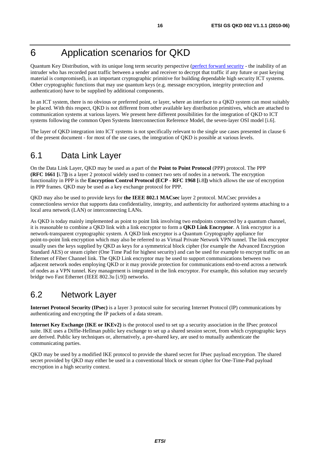# 6 Application scenarios for QKD

Quantum Key Distribution, with its unique long term security perspective ([perfect forward security](http://en.wikipedia.org/wiki/Perfect_forward_secrecy) - the inability of an intruder who has recorded past traffic between a sender and receiver to decrypt that traffic if any future or past keying material is compromised), is an important cryptographic primitive for building dependable high security ICT systems. Other cryptographic functions that may use quantum keys (e.g. message encryption, integrity protection and authentication) have to be supplied by additional components.

In an ICT system, there is no obvious or preferred point, or layer, where an interface to a QKD system can most suitably be placed. With this respect, QKD is not different from other available key distribution primitives, which are attached to communication systems at various layers. We present here different possibilities for the integration of QKD to ICT systems following the common Open Systems Interconnection Reference Model, the seven-layer OSI model [i.6].

The layer of QKD integration into ICT systems is not specifically relevant to the single use cases presented in clause 6 of the present document - for most of the use cases, the integration of QKD is possible at various levels.

# 6.1 Data Link Layer

On the Data Link Layer, QKD may be used as a part of the **Point to Point Protocol** (PPP) protocol. The PPP **(RFC 1661 [**i.7**])** is a layer 2 protocol widely used to connect two sets of nodes in a network. The encryption functionality in PPP is the **Encryption Control Protocol (ECP - RFC 1968 [**i.8**])** which allows the use of encryption in PPP frames. QKD may be used as a key exchange protocol for PPP.

QKD may also be used to provide keys for **the IEEE 802.1 MACsec** layer 2 protocol. MACsec provides a connectionless service that supports data confidentiality, integrity, and authenticity for authorized systems attaching to a local area network (LAN) or interconnecting LANs.

As QKD is today mainly implemented as point to point link involving two endpoints connected by a quantum channel, it is reasonable to combine a QKD link with a link encryptor to form a **QKD Link Encryptor**. A link encryptor is a network-transparent cryptographic system. A QKD link encryptor is a Quantum Cryptography appliance for point-to-point link encryption which may also be referred to as Virtual Private Network VPN tunnel. The link encryptor usually uses the keys supplied by QKD as keys for a symmetrical block cipher (for example the Advanced Encryption Standard AES) or steam cipher (One Time Pad for highest security) and can be used for example to encrypt traffic on an Ethernet of Fiber Channel link. The QKD Link encryptor may be used to support communications between two adjacent network nodes employing QKD or it may provide protection for communications end-to-end across a network of nodes as a VPN tunnel. Key management is integrated in the link encryptor. For example, this solution may securely bridge two Fast Ethernet (IEEE 802.3u [i.9]) networks.

# 6.2 Network Layer

**Internet Protocol Security (IPsec)** is a layer 3 protocol suite for securing Internet Protocol (IP) communications by authenticating and encrypting the IP packets of a data stream.

**Internet Key Exchange (IKE or IKEv2)** is the protocol used to set up a security association in the IPsec protocol suite. IKE uses a Diffie-Hellman public key exchange to set up a shared session secret, from which cryptographic keys are derived. Public key techniques or, alternatively, a pre-shared key, are used to mutually authenticate the communicating parties.

QKD may be used by a modified IKE protocol to provide the shared secret for IPsec payload encryption. The shared secret provided by QKD may either be used in a conventional block or stream cipher for One-Time-Pad payload encryption in a high security context.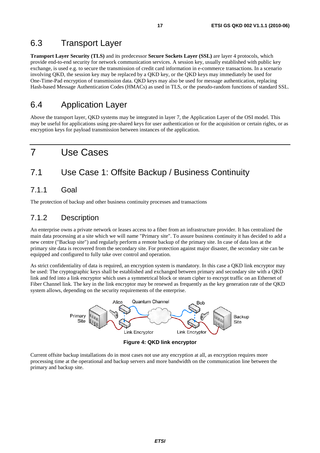# 6.3 Transport Layer

**Transport Layer Security (TLS)** and its predecessor **Secure Sockets Layer (SSL)** are layer 4 protocols, which provide end-to-end security for network communication services. A session key, usually established with public key exchange, is used e.g. to secure the transmission of credit card information in e-commerce transactions. In a scenario involving QKD, the session key may be replaced by a QKD key, or the QKD keys may immediately be used for One-Time-Pad encryption of transmission data. QKD keys may also be used for message authentication, replacing Hash-based Message Authentication Codes (HMACs) as used in TLS, or the pseudo-random functions of standard SSL.

# 6.4 Application Layer

Above the transport layer, QKD systems may be integrated in layer 7, the Application Layer of the OSI model. This may be useful for applications using pre-shared keys for user authentication or for the acquisition or certain rights, or as encryption keys for payload transmission between instances of the application.

# 7 Use Cases

# 7.1 Use Case 1: Offsite Backup / Business Continuity

## 7.1.1 Goal

The protection of backup and other business continuity processes and transactions

# 7.1.2 Description

An enterprise owns a private network or leases access to a fiber from an infrastructure provider. It has centralized the main data processing at a site which we will name "Primary site". To assure business continuity it has decided to add a new centre ("Backup site") and regularly perform a remote backup of the primary site. In case of data loss at the primary site data is recovered from the secondary site. For protection against major disaster, the secondary site can be equipped and configured to fully take over control and operation.

As strict confidentiality of data is required, an encryption system is mandatory. In this case a QKD link encryptor may be used: The cryptographic keys shall be established and exchanged between primary and secondary site with a QKD link and fed into a link encryptor which uses a symmetrical block or steam cipher to encrypt traffic on an Ethernet of Fiber Channel link. The key in the link encryptor may be renewed as frequently as the key generation rate of the QKD system allows, depending on the security requirements of the enterprise.



**Figure 4: QKD link encryptor** 

Current offsite backup installations do in most cases not use any encryption at all, as encryption requires more processing time at the operational and backup servers and more bandwidth on the communication line between the primary and backup site.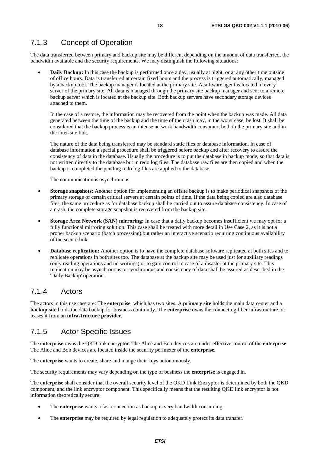# 7.1.3 Concept of Operation

The data transferred between primary and backup site may be different depending on the amount of data transferred, the bandwidth available and the security requirements. We may distinguish the following situations:

**Daily Backup:** In this case the backup is performed once a day, usually at night, or at any other time outside of office hours. Data is transferred at certain fixed hours and the process is triggered automatically, managed by a backup tool. The backup manager is located at the primary site. A software agent is located in every server of the primary site. All data is managed through the primary site backup manager and sent to a remote backup server which is located at the backup site. Both backup servers have secondary storage devices attached to them.

In the case of a restore, the information may be recovered from the point when the backup was made. All data generated between the time of the backup and the time of the crash may, in the worst case, be lost. It shall be considered that the backup process is an intense network bandwidth consumer, both in the primary site and in the inter-site link.

The nature of the data being transferred may be standard static files or database information. In case of database information a special procedure shall be triggered before backup and after recovery to assure the consistency of data in the database. Usually the procedure is to put the database in backup mode, so that data is not written directly to the database but in redo log files. The database raw files are then copied and when the backup is completed the pending redo log files are applied to the database.

The communication is asynchronous.

- **Storage snapshots:** Another option for implementing an offsite backup is to make periodical snapshots of the primary storage of certain critical servers at certain points of time. If the data being copied are also database files, the same procedure as for database backup shall be carried out to assure database consistency. In case of a crash, the complete storage snapshot is recovered from the backup site.
- **Storage Area Network (SAN) mirroring:** In case that a daily backup becomes insufficient we may opt for a fully functional mirroring solution. This case shall be treated with more detail in Use Case 2, as it is not a proper backup scenario (batch processing) but rather an interactive scenario requiring continuous availability of the secure link.
- **Database replication:** Another option is to have the complete database software replicated at both sites and to replicate operations in both sites too. The database at the backup site may be used just for auxiliary readings (only reading operations and no writings) or to gain control in case of a disaster at the primary site. This replication may be asynchronous or synchronous and consistency of data shall be assured as described in the 'Daily Backup' operation.

### 7.1.4 Actors

The actors in this use case are: The **enterprise**, which has two sites. A **primary site** holds the main data center and a **backup site** holds the data backup for business continuity. The **enterprise** owns the connecting fiber infrastructure, or leases it from an **infrastructure provider**.

### 7.1.5 Actor Specific Issues

The **enterprise** owns the QKD link encryptor. The Alice and Bob devices are under effective control of the **enterprise** The Alice and Bob devices are located inside the security perimeter of the **enterprise.**

The **enterprise** wants to create, share and mange their keys autonomously.

The security requirements may vary depending on the type of business the **enterprise** is engaged in.

The **enterprise** shall consider that the overall security level of the QKD Link Encryptor is determined by both the QKD component, and the link encryptor component. This specifically means that the resulting QKD link encryptor is not information theoretically secure:

- The **enterprise** wants a fast connection as backup is very bandwidth consuming.
- The **enterprise** may be required by legal regulation to adequately protect its data transfer.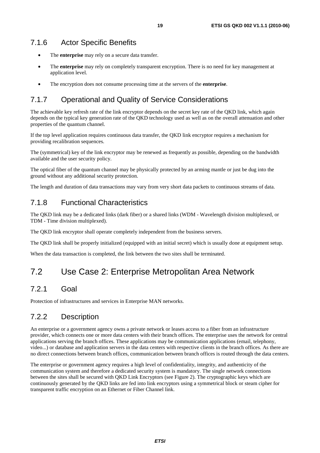### 7.1.6 Actor Specific Benefits

- The **enterprise** may rely on a secure data transfer.
- The **enterprise** may rely on completely transparent encryption. There is no need for key management at application level.
- The encryption does not consume processing time at the servers of the **enterprise**.

# 7.1.7 Operational and Quality of Service Considerations

The achievable key refresh rate of the link encryptor depends on the secret key rate of the QKD link, which again depends on the typical key generation rate of the QKD technology used as well as on the overall attenuation and other properties of the quantum channel.

If the top level application requires continuous data transfer, the QKD link encryptor requires a mechanism for providing recalibration sequences.

The (symmetrical) key of the link encryptor may be renewed as frequently as possible, depending on the bandwidth available and the user security policy.

The optical fiber of the quantum channel may be physically protected by an arming mantle or just be dug into the ground without any additional security protection.

The length and duration of data transactions may vary from very short data packets to continuous streams of data.

# 7.1.8 Functional Characteristics

The QKD link may be a dedicated links (dark fiber) or a shared links (WDM - Wavelength division multiplexed, or TDM - Time division multiplexed).

The QKD link encryptor shall operate completely independent from the business servers.

The QKD link shall be properly initialized (equipped with an initial secret) which is usually done at equipment setup.

When the data transaction is completed, the link between the two sites shall be terminated.

# 7.2 Use Case 2: Enterprise Metropolitan Area Network

### 7.2.1 Goal

Protection of infrastructures and services in Enterprise MAN networks.

# 7.2.2 Description

An enterprise or a government agency owns a private network or leases access to a fiber from an infrastructure provider, which connects one or more data centers with their branch offices. The enterprise uses the network for central applications serving the branch offices. These applications may be communication applications (email, telephony, video...) or database and application servers in the data centers with respective clients in the branch offices. As there are no direct connections between branch offices, communication between branch offices is routed through the data centers.

The enterprise or government agency requires a high level of confidentiality, integrity, and authenticity of the communication system and therefore a dedicated security system is mandatory. The single network connections between the sites shall be secured with QKD Link Encryptors (see Figure 2). The cryptographic keys which are continuously generated by the QKD links are fed into link encryptors using a symmetrical block or steam cipher for transparent traffic encryption on an Ethernet or Fiber Channel link.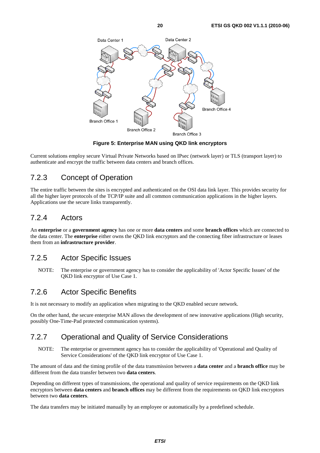

**Figure 5: Enterprise MAN using QKD link encryptors** 

Current solutions employ secure Virtual Private Networks based on IPsec (network layer) or TLS (transport layer) to authenticate and encrypt the traffic between data centers and branch offices.

### 7.2.3 Concept of Operation

The entire traffic between the sites is encrypted and authenticated on the OSI data link layer. This provides security for all the higher layer protocols of the TCP/IP suite and all common communication applications in the higher layers. Applications use the secure links transparently.

### 7.2.4 Actors

An **enterprise** or a **government agency** has one or more **data centers** and some **branch offices** which are connected to the data center. The **enterprise** either owns the QKD link encryptors and the connecting fiber infrastructure or leases them from an **infrastructure provider**.

# 7.2.5 Actor Specific Issues

NOTE: The enterprise or government agency has to consider the applicability of 'Actor Specific Issues' of the QKD link encryptor of Use Case 1.

### 7.2.6 Actor Specific Benefits

It is not necessary to modify an application when migrating to the QKD enabled secure network.

On the other hand, the secure enterprise MAN allows the development of new innovative applications (High security, possibly One-Time-Pad protected communication systems).

# 7.2.7 Operational and Quality of Service Considerations

NOTE: The enterprise or government agency has to consider the applicability of 'Operational and Quality of Service Considerations' of the QKD link encryptor of Use Case 1.

The amount of data and the timing profile of the data transmission between a **data center** and a **branch office** may be different from the data transfer between two **data centers**.

Depending on different types of transmissions, the operational and quality of service requirements on the QKD link encryptors between **data centers** and **branch offices** may be different from the requirements on QKD link encryptors between two **data centers**.

The data transfers may be initiated manually by an employee or automatically by a predefined schedule.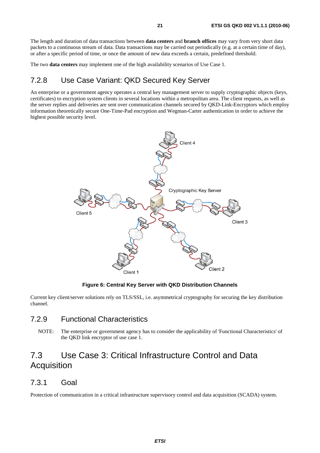The length and duration of data transactions between **data centers** and **branch offices** may vary from very short data packets to a continuous stream of data. Data transactions may be carried out periodically (e.g. at a certain time of day), or after a specific period of time, or once the amount of new data exceeds a certain, predefined threshold.

The two **data centers** may implement one of the high availability scenarios of Use Case 1.

# 7.2.8 Use Case Variant: QKD Secured Key Server

An enterprise or a government agency operates a central key management server to supply cryptographic objects (keys, certificates) to encryption system clients in several locations within a metropolitan area. The client requests, as well as the server replies and deliveries are sent over communication channels secured by QKD-Link-Encryptors which employ information theoretically secure One-Time-Pad encryption and Wegman-Carter authentication in order to achieve the highest possible security level.



**Figure 6: Central Key Server with QKD Distribution Channels** 

Current key client/server solutions rely on TLS/SSL, i.e. asymmetrical cryptography for securing the key distribution channel.

### 7.2.9 Functional Characteristics

NOTE: The enterprise or government agency has to consider the applicability of 'Functional Characteristics' of the QKD link encryptor of use case 1.

# 7.3 Use Case 3: Critical Infrastructure Control and Data **Acquisition**

### 7.3.1 Goal

Protection of communication in a critical infrastructure supervisory control and data acquisition (SCADA) system.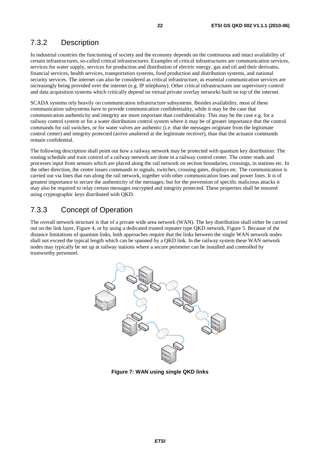# 7.3.2 Description

In industrial countries the functioning of society and the economy depends on the continuous and intact availability of certain infrastructures, so-called critical infrastructures. Examples of critical infrastructures are communication services, services for water supply, services for production and distribution of electric energy, gas and oil and their derivates, financial services, health services, transportation systems, food production and distribution systems, and national security services. The internet can also be considered as critical infrastructure, as essential communication services are increasingly being provided over the internet (e.g. IP telephony). Other critical infrastructures use supervisory control and data acquisition systems which critically depend on virtual private overlay networks built on top of the internet.

SCADA systems rely heavily on communication infrastructure subsystems. Besides availability, most of these communication subsystems have to provide communication confidentiality, while it may be the case that communication authenticity and integrity are more important than confidentiality. This may be the case e.g. for a railway control system or for a water distribution control system where it may be of greater importance that the control commands for rail switches, or for water valves are authentic (i.e. that the messages originate from the legitimate control center) and integrity protected (arrive unaltered at the legitimate receiver), than that the actuator commands remain confidential.

The following description shall point out how a railway network may be protected with quantum key distribution: The routing schedule and train control of a railway network are done in a railway control center. The center reads and processes input from sensors which are placed along the rail network on section boundaries, crossings, in stations etc. In the other direction, the centre issues commands to signals, switches, crossing gates, displays etc. The communication is carried out via lines that run along the rail network, together with other communication lines and power lines. It is of greatest importance to secure the authenticity of the messages; but for the prevention of specific malicious attacks it may also be required to relay certain messages encrypted and integrity protected. These properties shall be ensured using cryptographic keys distributed with QKD.

### 7.3.3 Concept of Operation

The overall network structure is that of a private wide area network (WAN). The key distribution shall either be carried out on the link layer, Figure 4, or by using a dedicated trusted repeater type QKD network, Figure 5. Because of the distance limitations of quantum links, both approaches require that the links between the single WAN network nodes shall not exceed the typical length which can be spanned by a QKD link. In the railway system these WAN network nodes may typically be set up at railway stations where a secure perimeter can be installed and controlled by trustworthy personnel.



**Figure 7: WAN using single QKD links**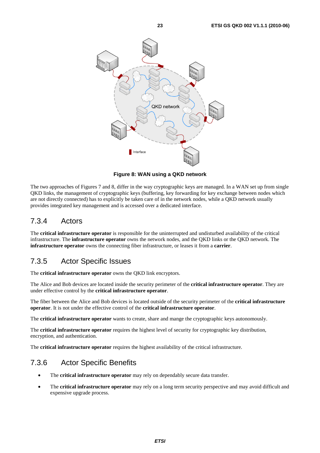

**Figure 8: WAN using a QKD network** 

The two approaches of Figures 7 and 8, differ in the way cryptographic keys are managed. In a WAN set up from single QKD links, the management of cryptographic keys (buffering, key forwarding for key exchange between nodes which are not directly connected) has to explicitly be taken care of in the network nodes, while a QKD network usually provides integrated key management and is accessed over a dedicated interface.

# 7.3.4 Actors

The **critical infrastructure operator** is responsible for the uninterrupted and undisturbed availability of the critical infrastructure. The **infrastructure operator** owns the network nodes, and the QKD links or the QKD network. The **infrastructure operator** owns the connecting fiber infrastructure, or leases it from a **carrier**.

# 7.3.5 Actor Specific Issues

The **critical infrastructure operator** owns the QKD link encryptors.

The Alice and Bob devices are located inside the security perimeter of the **critical infrastructure operator**. They are under effective control by the **critical infrastructure operator**.

The fiber between the Alice and Bob devices is located outside of the security perimeter of the **critical infrastructure operator**. It is not under the effective control of the **critical infrastructure operator**.

The **critical infrastructure operator** wants to create, share and mange the cryptographic keys autonomously.

The **critical infrastructure operator** requires the highest level of security for cryptographic key distribution, encryption, and authentication.

The **critical infrastructure operator** requires the highest availability of the critical infrastructure.

# 7.3.6 Actor Specific Benefits

- The **critical infrastructure operator** may rely on dependably secure data transfer.
- The **critical infrastructure operator** may rely on a long term security perspective and may avoid difficult and expensive upgrade process.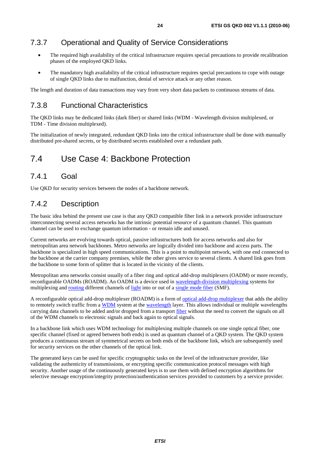# 7.3.7 Operational and Quality of Service Considerations

- The required high availability of the critical infrastructure requires special precautions to provide recalibration phases of the employed QKD links.
- The mandatory high availability of the critical infrastructure requires special precautions to cope with outage of single QKD links due to malfunction, denial of service attack or any other reason.

The length and duration of data transactions may vary from very short data packets to continuous streams of data.

# 7.3.8 Functional Characteristics

The QKD links may be dedicated links (dark fiber) or shared links (WDM - Wavelength division multiplexed, or TDM - Time division multiplexed).

The initialization of newly integrated, redundant QKD links into the critical infrastructure shall be done with manually distributed pre-shared secrets, or by distributed secrets established over a redundant path.

# 7.4 Use Case 4: Backbone Protection

# 7.4.1 Goal

Use QKD for security services between the nodes of a backbone network.

## 7.4.2 Description

The basic idea behind the present use case is that any QKD compatible fiber link in a network provider infrastructure interconnecting several access networks has the intrinsic potential resource of a quantum channel. This quantum channel can be used to exchange quantum information - or remain idle and unused.

Current networks are evolving towards optical, passive infrastructures both for access networks and also for metropolitan area network backbones. Metro networks are logically divided into backbone and access parts. The backbone is specialized in high speed communications. This is a point to multipoint network, with one end connected to the backbone at the carrier company premises, while the other gives service to several clients. A shared link goes from the backbone to some form of splitter that is located in the vicinity of the clients.

Metropolitan area networks consist usually of a fiber ring and optical add-drop multiplexers (OADM) or more recently, reconfigurable OADMs (ROADM). An OADM is a device used in [wavelength-division multiplexing](http://en.wikipedia.org/wiki/Wavelength-division_multiplexing) systems for multiplexing and [routing](http://en.wikipedia.org/wiki/Routing) different channels of [light](http://en.wikipedia.org/wiki/Light) into or out of a [single mode fiber](http://en.wikipedia.org/wiki/Single_mode_fiber) (SMF).

A reconfigurable optical add-drop multiplexer (ROADM) is a form of [optical add-drop multiplexer](http://en.wikipedia.org/wiki/Optical_add-drop_multiplexer) that adds the ability to remotely switch traffic from a [WDM](http://en.wikipedia.org/wiki/Wavelength-division_multiplexing) system at the [wavelength](http://en.wikipedia.org/wiki/Wavelength) layer. This allows individual or multiple wavelengths carrying data channels to be added and/or dropped from a transport [fiber](http://en.wikipedia.org/wiki/Optical_fiber) without the need to convert the signals on all of the WDM channels to electronic signals and back again to optical signals.

In a backbone link which uses WDM technology for multiplexing multiple channels on one single optical fiber, one specific channel (fixed or agreed between both ends) is used as quantum channel of a QKD system. The QKD system produces a continuous stream of symmetrical secrets on both ends of the backbone link, which are subsequently used for security services on the other channels of the optical link.

The generated keys can be used for specific cryptographic tasks on the level of the infrastructure provider, like validating the authenticity of transmissions, or encrypting specific communication protocol messages with high security. Another usage of the continuously generated keys is to use them with defined encryption algorithms for selective message encryption/integrity protection/authentication services provided to customers by a service provider.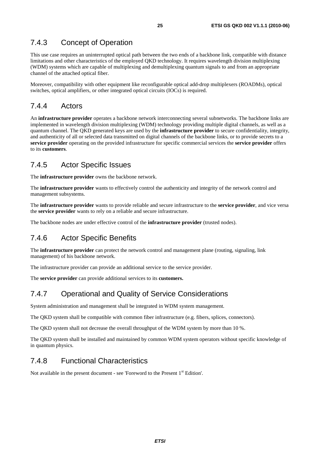# 7.4.3 Concept of Operation

This use case requires an uninterrupted optical path between the two ends of a backbone link, compatible with distance limitations and other characteristics of the employed QKD technology. It requires wavelength division multiplexing (WDM) systems which are capable of multiplexing and demultiplexing quantum signals to and from an appropriate channel of the attached optical fiber.

Moreover, compatibility with other equipment like reconfigurable optical add-drop multiplexers (ROADMs), optical switches, optical amplifiers, or other integrated optical circuits (IOCs) is required.

# 7.4.4 Actors

An **infrastructure provider** operates a backbone network interconnecting several subnetworks. The backbone links are implemented in wavelength division multiplexing (WDM) technology providing multiple digital channels, as well as a quantum channel. The QKD generated keys are used by the **infrastructure provider** to secure confidentiality, integrity, and authenticity of all or selected data transmitted on digital channels of the backbone links, or to provide secrets to a **service provider** operating on the provided infrastructure for specific commercial services the **service provider** offers to its **customers**.

# 7.4.5 Actor Specific Issues

The **infrastructure provider** owns the backbone network.

The **infrastructure provider** wants to effectively control the authenticity and integrity of the network control and management subsystems.

The **infrastructure provider** wants to provide reliable and secure infrastructure to the **service provider**, and vice versa the **service provider** wants to rely on a reliable and secure infrastructure.

The backbone nodes are under effective control of the **infrastructure provider** (trusted nodes).

# 7.4.6 Actor Specific Benefits

The **infrastructure provider** can protect the network control and management plane (routing, signaling, link management) of his backbone network.

The infrastructure provider can provide an additional service to the service provider.

The **service provider** can provide additional services to its **customers.**

# 7.4.7 Operational and Quality of Service Considerations

System administration and management shall be integrated in WDM system management.

The QKD system shall be compatible with common fiber infrastructure (e.g. fibers, splices, connectors).

The QKD system shall not decrease the overall throughput of the WDM system by more than 10 %.

The QKD system shall be installed and maintained by common WDM system operators without specific knowledge of in quantum physics.

# 7.4.8 Functional Characteristics

Not available in the present document - see 'Foreword to the Present 1<sup>st</sup> Edition'.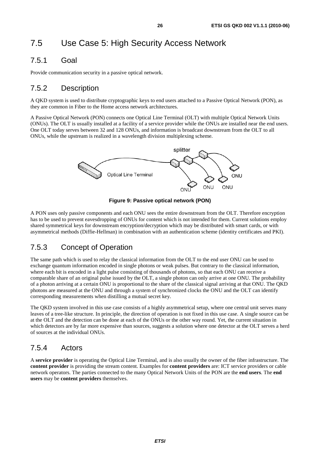# 7.5 Use Case 5: High Security Access Network

# 7.5.1 Goal

Provide communication security in a passive optical network.

# 7.5.2 Description

A QKD system is used to distribute cryptographic keys to end users attached to a Passive Optical Network (PON), as they are common in Fiber to the Home access network architectures.

A Passive Optical Network (PON) connects one Optical Line Terminal (OLT) with multiple Optical Network Units (ONUs). The OLT is usually installed at a facility of a service provider while the ONUs are installed near the end users. One OLT today serves between 32 and 128 ONUs, and information is broadcast downstream from the OLT to all ONUs, while the upstream is realized in a wavelength division multiplexing scheme.



**Figure 9: Passive optical network (PON)** 

A PON uses only passive components and each ONU sees the entire downstream from the OLT. Therefore encryption has to be used to prevent eavesdropping of ONUs for content which is not intended for them. Current solutions employ shared symmetrical keys for downstream encryption/decryption which may be distributed with smart cards, or with asymmetrical methods (Diffie-Hellman) in combination with an authentication scheme (identity certificates and PKI).

# 7.5.3 Concept of Operation

The same path which is used to relay the classical information from the OLT to the end user ONU can be used to exchange quantum information encoded in single photons or weak pulses. But contrary to the classical information, where each bit is encoded in a light pulse consisting of thousands of photons, so that each ONU can receive a comparable share of an original pulse issued by the OLT, a single photon can only arrive at one ONU. The probability of a photon arriving at a certain ONU is proportional to the share of the classical signal arriving at that ONU. The QKD photons are measured at the ONU and through a system of synchronized clocks the ONU and the OLT can identify corresponding measurements when distilling a mutual secret key.

The QKD system involved in this use case consists of a highly asymmetrical setup, where one central unit serves many leaves of a tree-like structure. In principle, the direction of operation is not fixed in this use case. A single source can be at the OLT and the detection can be done at each of the ONUs or the other way round. Yet, the current situation in which detectors are by far more expensive than sources, suggests a solution where one detector at the OLT serves a herd of sources at the individual ONUs.

# 7.5.4 Actors

A **service provider** is operating the Optical Line Terminal, and is also usually the owner of the fiber infrastructure. The **content provider** is providing the stream content. Examples for **content providers** are: ICT service providers or cable network operators. The parties connected to the many Optical Network Units of the PON are the **end users**. The **end users** may be **content providers** themselves.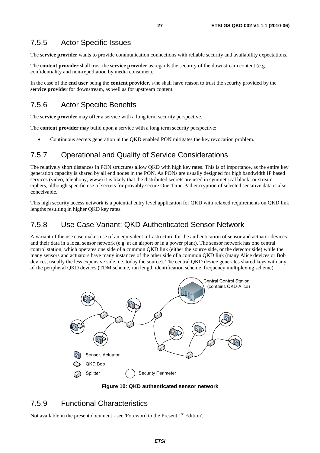### 7.5.5 Actor Specific Issues

The **service provider** wants to provide communication connections with reliable security and availability expectations.

The **content provider** shall trust the **service provider** as regards the security of the downstream content (e.g. confidentiality and non-repudiation by media consumer).

In the case of the **end user** being the **content provider**, s/he shall have reason to trust the security provided by the **service provider** for downstream, as well as for upstream content.

### 7.5.6 Actor Specific Benefits

The **service provider** may offer a service with a long term security perspective.

The **content provider** may build upon a service with a long term security perspective:

• Continuous secrets generation in the QKD enabled PON mitigates the key revocation problem.

### 7.5.7 Operational and Quality of Service Considerations

The relatively short distances in PON structures allow QKD with high key rates. This is of importance, as the entire key generation capacity is shared by all end nodes in the PON. As PONs are usually designed for high bandwidth IP based services (video, telephony, www) it is likely that the distributed secrets are used in symmetrical block- or stream ciphers, although specific use of secrets for provably secure One-Time-Pad encryption of selected sensitive data is also conceivable.

This high security access network is a potential entry level application for QKD with relaxed requirements on QKD link lengths resulting in higher QKD key rates.

### 7.5.8 Use Case Variant: QKD Authenticated Sensor Network

A variant of the use case makes use of an equivalent infrastructure for the authentication of sensor and actuator devices and their data in a local sensor network (e.g. at an airport or in a power plant). The sensor network has one central control station, which operates one side of a common QKD link (either the source side, or the detector side) while the many sensors and actuators have many instances of the other side of a common QKD link (many Alice devices or Bob devices, usually the less expensive side, i.e. today the source). The central QKD device generates shared keys with any of the peripheral QKD devices (TDM scheme, run length identification scheme, frequency multiplexing scheme).



**Figure 10: QKD authenticated sensor network** 

### 7.5.9 Functional Characteristics

Not available in the present document - see 'Foreword to the Present 1<sup>st</sup> Edition'.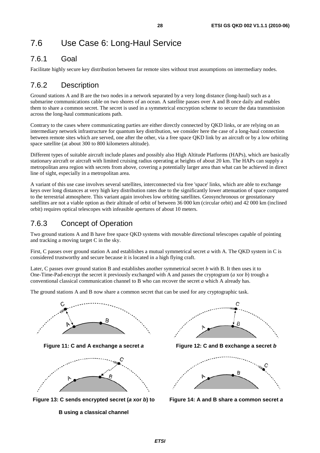# 7.6 Use Case 6: Long-Haul Service

# 7.6.1 Goal

Facilitate highly secure key distribution between far remote sites without trust assumptions on intermediary nodes.

# 7.6.2 Description

Ground stations A and B are the two nodes in a network separated by a very long distance (long-haul) such as a submarine communications cable on two shores of an ocean. A satellite passes over A and B once daily and enables them to share a common secret. The secret is used in a symmetrical encryption scheme to secure the data transmission across the long-haul communications path.

Contrary to the cases where communicating parties are either directly connected by QKD links, or are relying on an intermediary network infrastructure for quantum key distribution, we consider here the case of a long-haul connection between remote sites which are served, one after the other, via a free space QKD link by an aircraft or by a low orbiting space satellite (at about 300 to 800 kilometers altitude).

Different types of suitable aircraft include planes and possibly also High Altitude Platforms (HAPs), which are basically stationary aircraft or aircraft with limited cruising radius operating at heights of about 20 km. The HAPs can supply a metropolitan area region with secrets from above, covering a potentially larger area than what can be achieved in direct line of sight, especially in a metropolitan area.

A variant of this use case involves several satellites, interconnected via free 'space' links, which are able to exchange keys over long distances at very high key distribution rates due to the significantly lower attenuation of space compared to the terrestrial atmosphere. This variant again involves low orbiting satellites. Geosynchronous or geostationary satellites are not a viable option as their altitude of orbit of between 36 000 km (circular orbit) and 42 000 km (inclined orbit) requires optical telescopes with infeasible apertures of about 10 meters.

# 7.6.3 Concept of Operation

Two ground stations A and B have free space QKD systems with movable directional telescopes capable of pointing and tracking a moving target C in the sky.

First, C passes over ground station A and establishes a mutual symmetrical secret *a* with A. The QKD system in C is considered trustworthy and secure because it is located in a high flying craft.

Later, C passes over ground station B and establishes another symmetrical secret *b* with B. It then uses it to One-Time-Pad-encrypt the secret it previously exchanged with A and passes the cryptogram (*a* xor *b*) trough a conventional classical communication channel to B who can recover the secret *a* which A already has.

The ground stations A and B now share a common secret that can be used for any cryptographic task.





**Figure 13: C sends encrypted secret (***a* **xor** *b***) to**





**Figure 11: C and A exchange a secret** *a* **Figure 12: C and B exchange a secret** *b*



**Figure 14: A and B share a common secret** *a*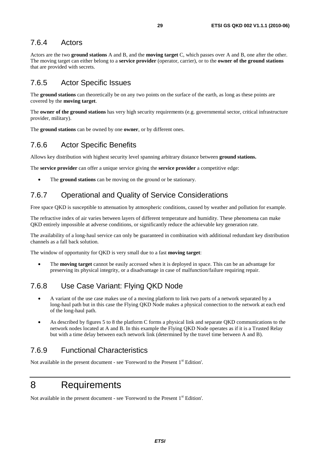### 7.6.4 Actors

Actors are the two **ground stations** A and B, and the **moving target** C, which passes over A and B, one after the other. The moving target can either belong to a **service provider** (operator, carrier), or to the **owner of the ground stations** that are provided with secrets.

# 7.6.5 Actor Specific Issues

The **ground stations** can theoretically be on any two points on the surface of the earth, as long as these points are covered by the **moving target**.

The **owner of the ground stations** has very high security requirements (e.g. governmental sector, critical infrastructure provider, military).

The **ground stations** can be owned by one **owner**, or by different ones.

# 7.6.6 Actor Specific Benefits

Allows key distribution with highest security level spanning arbitrary distance between **ground stations.**

The **service provider** can offer a unique service giving the **service provider** a competitive edge:

The **ground stations** can be moving on the ground or be stationary.

# 7.6.7 Operational and Quality of Service Considerations

Free space QKD is susceptible to attenuation by atmospheric conditions, caused by weather and pollution for example.

The refractive index of air varies between layers of different temperature and humidity. These phenomena can make QKD entirely impossible at adverse conditions, or significantly reduce the achievable key generation rate.

The availability of a long-haul service can only be guaranteed in combination with additional redundant key distribution channels as a fall back solution.

The window of opportunity for QKD is very small due to a fast **moving target**:

• The **moving target** cannot be easily accessed when it is deployed in space. This can be an advantage for preserving its physical integrity, or a disadvantage in case of malfunction/failure requiring repair.

# 7.6.8 Use Case Variant: Flying QKD Node

- A variant of the use case makes use of a moving platform to link two parts of a network separated by a long-haul path but in this case the Flying QKD Node makes a physical connection to the network at each end of the long-haul path.
- As described by figures 5 to 8 the platform C forms a physical link and separate QKD communications to the network nodes located at A and B. In this example the Flying QKD Node operates as if it is a Trusted Relay but with a time delay between each network link (determined by the travel time between A and B).

# 7.6.9 Functional Characteristics

Not available in the present document - see 'Foreword to the Present 1<sup>st</sup> Edition'.

# 8 Requirements

Not available in the present document - see 'Foreword to the Present 1<sup>st</sup> Edition'.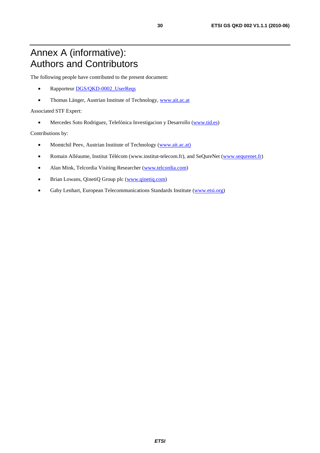# Annex A (informative): Authors and Contributors

The following people have contributed to the present document:

- Rapporteur [DGS/QKD-0002\\_UserReqs](http://webapp.etsi.org/WorkProgram/Report_WorkItem.asp?WKI_ID=29096)
- Thomas Länger, Austrian Institute of Technology, [www.ait.ac.at](http://www.ait.ac.at/)

#### Associated STF Expert:

• Mercedes Soto Rodriguez, Telefónica Investigacion y Desarrollo (www.tid.es)

Contributions by:

- Momtchil Peev, Austrian Institute of Technology (www.ait.ac.at)
- Romain Alléaume, Institut Télécom (www.institut-telecom.fr), and SeQureNet (www.sequrenet.fr)
- Alan Mink, Telcordia Visiting Researcher (www.telcordia.com)
- Brian Lowans, QinetiQ Group plc (www.qinetiq.com)
- Gaby Lenhart, European Telecommunications Standards Institute (www.etsi.org)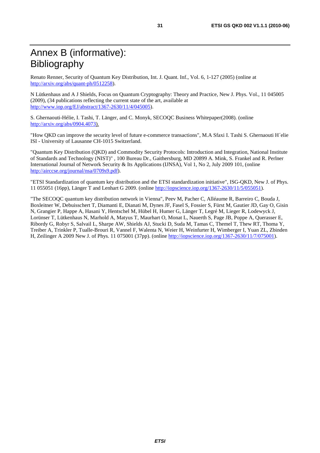# Annex B (informative): Bibliography

Renato Renner, Security of Quantum Key Distribution, Int. J. Quant. Inf., Vol. 6, 1-127 (2005) (online at [http://arxiv.org/abs/quant-ph/0512258\)](http://arxiv.org/abs/quant-ph/0512258).

N Lütkenhaus and A J Shields, Focus on Quantum Cryptography: Theory and Practice, New J. Phys. Vol., 11 045005 (2009), (34 publications reflecting the current state of the art, available at [http://www.iop.org/EJ/abstract/1367-2630/11/4/045005\)](http://www.iop.org/EJ/abstract/1367-2630/11/4/045005).

S. Ghernaouti-Hélie, I. Tashi, T. Länger, and C. Monyk, SECOQC Business Whitepaper(2008). (online [http://arxiv.org/abs/0904.4073\)](http://arxiv.org/abs/0904.4073).

"How QKD can improve the security level of future e-commerce transactions", M.A Sfaxi I. Tashi S. Ghernaouti H´elie ISI - University of Lausanne CH-1015 Switzerland.

"Quantum Key Distribution (QKD) and Commodity Security Protocols: Introduction and Integration, National Institute of Standards and Technology (NIST)" , 100 Bureau Dr., Gaithersburg, MD 20899 A. Mink, S. Frankel and R. Perlner International Journal of Network Security & Its Applications (IJNSA), Vol 1, No 2, July 2009 101, (online [http://airccse.org/journal/nsa/0709s9.pdf\)](http://airccse.org/journal/nsa/0709s9.pdf).

"ETSI Standardization of quantum key distribution and the ETSI standardization initiative", ISG-QKD, New J. of Phys. 11 055051 (16pp), Länger T and Lenhart G 2009. (online [http://iopscience.iop.org/1367-2630/11/5/055051\)](http://iopscience.iop.org/1367-2630/11/5/055051).

"The SECOQC quantum key distribution network in Vienna", Peev M, Pacher C, Alléaume R, Barreiro C, Bouda J, Boxleitner W, Debuisschert T, Diamanti E, Dianati M, Dynes JF, Fasel S, Fossier S, Fürst M, Gautier JD, Gay O, Gisin N, Grangier P, Happe A, Hasani Y, Hentschel M, Hübel H, Humer G, Länger T, Legré M, Lieger R, Lodewyck J, Lorünser T, Lütkenhaus N, Marhold A, Matyus T, Maurhart O, Monat L, Nauerth S, Page JB, Poppe A, Querasser E, Ribordy G, Robyr S, Salvail L, Sharpe AW, Shields AJ, Stucki D, Suda M, Tamas C, Themel T, Thew RT, Thoma Y, Treiber A, Trinkler P, Tualle-Brouri R, Vannel F, Walenta N, Weier H, Weinfurter H, Wimberger I, Yuan ZL, Zbinden H, Zeilinger A 2009 New J. of Phys. 11 075001 (37pp). (online [http://iopscience.iop.org/1367-2630/11/7/075001\)](http://iopscience.iop.org/1367-2630/11/7/075001).